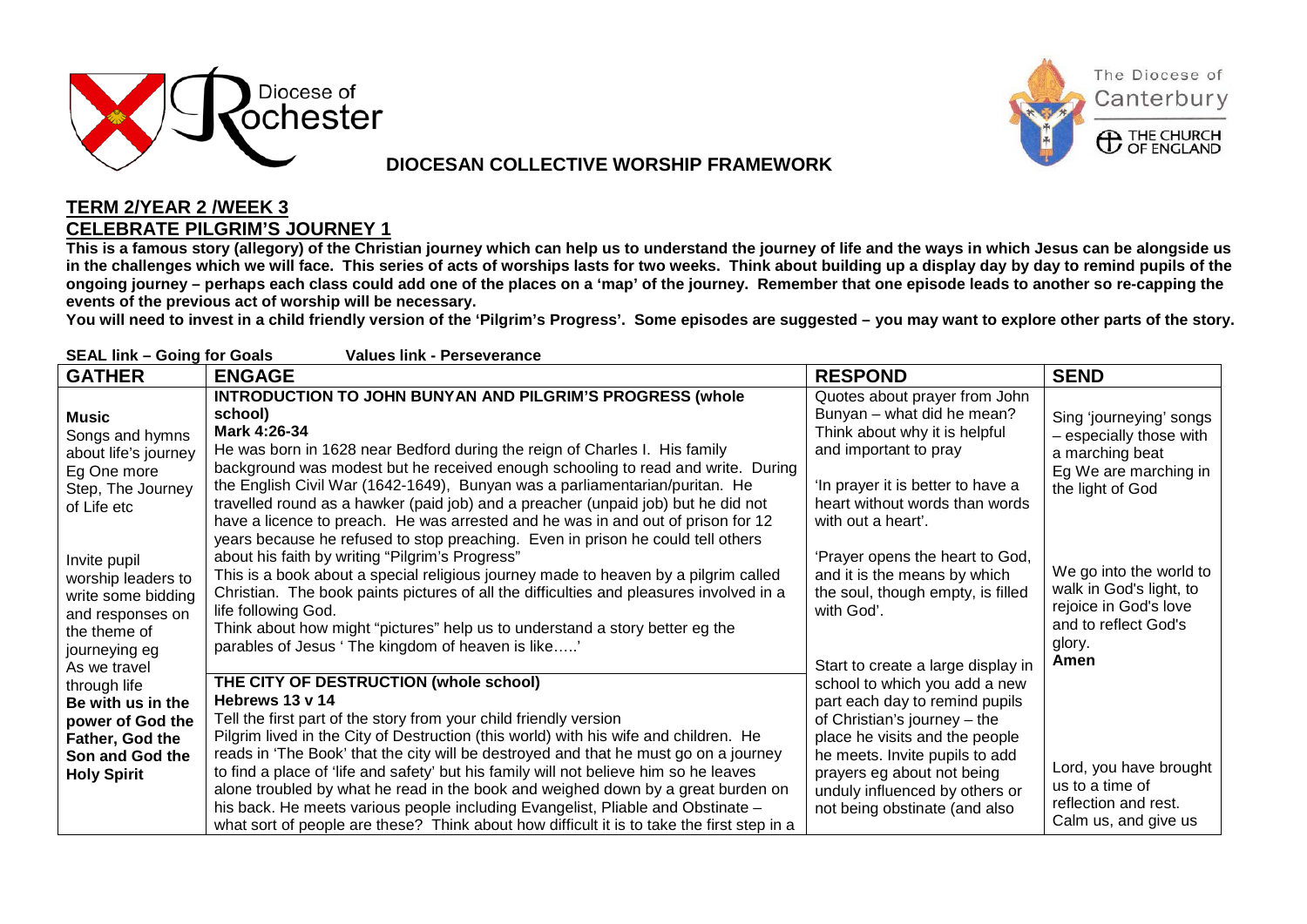

## **DIOCESAN COLLECTIVE WORSHIP FRAMEWORK**



## **TERM 2/YEAR 2 /WEEK 3 CELEBRATE PILGRIM'S JOURNEY 1**

**This is a famous story (allegory) of the Christian journey which can help us to understand the journey of life and the ways in which Jesus can be alongside us in the challenges which we will face. This series of acts of worships lasts for two weeks. Think about building up a display day by day to remind pupils of the ongoing journey – perhaps each class could add one of the places on a 'map' of the journey. Remember that one episode leads to another so re-capping the events of the previous act of worship will be necessary.**

**You will need to invest in a child friendly version of the 'Pilgrim's Progress'. Some episodes are suggested – you may want to explore other parts of the story.**

| <b>SEAL link - Going for Goals</b><br><b>Values link - Perseverance</b>                                                       |                                                                                                                                                                                                                                                                                                                                                                                                                                                                                                                                                                                                          |                                                                                                                                                                                                                    |                                                                                                                       |  |  |
|-------------------------------------------------------------------------------------------------------------------------------|----------------------------------------------------------------------------------------------------------------------------------------------------------------------------------------------------------------------------------------------------------------------------------------------------------------------------------------------------------------------------------------------------------------------------------------------------------------------------------------------------------------------------------------------------------------------------------------------------------|--------------------------------------------------------------------------------------------------------------------------------------------------------------------------------------------------------------------|-----------------------------------------------------------------------------------------------------------------------|--|--|
| <b>GATHER</b>                                                                                                                 | <b>ENGAGE</b>                                                                                                                                                                                                                                                                                                                                                                                                                                                                                                                                                                                            | <b>RESPOND</b>                                                                                                                                                                                                     | <b>SEND</b>                                                                                                           |  |  |
| Music<br>Songs and hymns<br>about life's journey<br>Eg One more<br>Step, The Journey<br>of Life etc                           | <b>INTRODUCTION TO JOHN BUNYAN AND PILGRIM'S PROGRESS (whole</b><br>school)<br>Mark 4:26-34<br>He was born in 1628 near Bedford during the reign of Charles I. His family<br>background was modest but he received enough schooling to read and write. During<br>the English Civil War (1642-1649), Bunyan was a parliamentarian/puritan. He<br>travelled round as a hawker (paid job) and a preacher (unpaid job) but he did not<br>have a licence to preach. He was arrested and he was in and out of prison for 12<br>years because he refused to stop preaching. Even in prison he could tell others | Quotes about prayer from John<br>Bunyan - what did he mean?<br>Think about why it is helpful<br>and important to pray<br>'In prayer it is better to have a<br>heart without words than words<br>with out a heart'. | Sing 'journeying' songs<br>- especially those with<br>a marching beat<br>Eg We are marching in<br>the light of God    |  |  |
| Invite pupil<br>worship leaders to<br>write some bidding<br>and responses on<br>the theme of<br>journeying eg<br>As we travel | about his faith by writing "Pilgrim's Progress"<br>This is a book about a special religious journey made to heaven by a pilgrim called<br>Christian. The book paints pictures of all the difficulties and pleasures involved in a<br>life following God.<br>Think about how might "pictures" help us to understand a story better eg the<br>parables of Jesus 'The kingdom of heaven is like'                                                                                                                                                                                                            | 'Prayer opens the heart to God,<br>and it is the means by which<br>the soul, though empty, is filled<br>with God'.<br>Start to create a large display in                                                           | We go into the world to<br>walk in God's light, to<br>rejoice in God's love<br>and to reflect God's<br>glory.<br>Amen |  |  |
| through life<br>Be with us in the<br>power of God the<br>Father, God the<br>Son and God the                                   | THE CITY OF DESTRUCTION (whole school)<br>Hebrews 13 v 14<br>Tell the first part of the story from your child friendly version<br>Pilgrim lived in the City of Destruction (this world) with his wife and children. He<br>reads in 'The Book' that the city will be destroyed and that he must go on a journey                                                                                                                                                                                                                                                                                           | school to which you add a new<br>part each day to remind pupils<br>of Christian's journey - the<br>place he visits and the people<br>he meets. Invite pupils to add                                                |                                                                                                                       |  |  |
| <b>Holy Spirit</b>                                                                                                            | to find a place of 'life and safety' but his family will not believe him so he leaves<br>alone troubled by what he read in the book and weighed down by a great burden on<br>his back. He meets various people including Evangelist, Pliable and Obstinate -<br>what sort of people are these? Think about how difficult it is to take the first step in a                                                                                                                                                                                                                                               | prayers eg about not being<br>unduly influenced by others or<br>not being obstinate (and also                                                                                                                      | Lord, you have brought<br>us to a time of<br>reflection and rest.<br>Calm us, and give us                             |  |  |